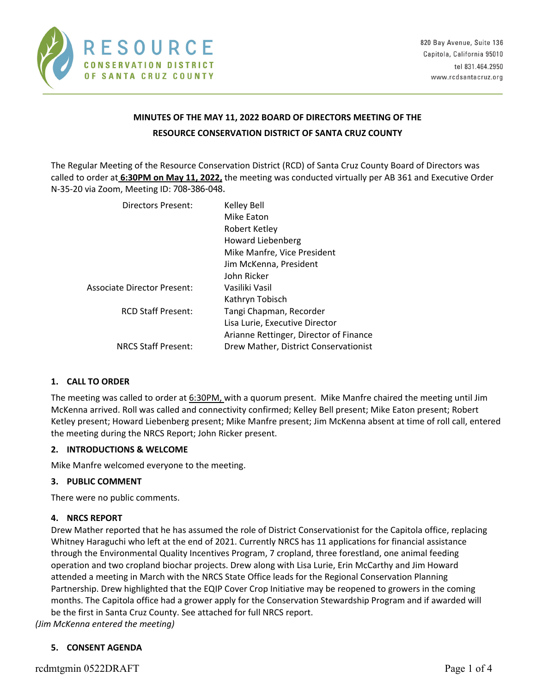

# **MINUTES OF THE MAY 11, 2022 BOARD OF DIRECTORS MEETING OF THE RESOURCE CONSERVATION DISTRICT OF SANTA CRUZ COUNTY**

The Regular Meeting of the Resource Conservation District (RCD) of Santa Cruz County Board of Directors was called to order at **6:30PM on May 11, 2022,** the meeting was conducted virtually per AB 361 and Executive Order N‐35‐20 via Zoom, Meeting ID: 708-386-048.

| Directors Present:                 | Kelley Bell                            |
|------------------------------------|----------------------------------------|
|                                    | Mike Eaton                             |
|                                    | Robert Ketley                          |
|                                    | <b>Howard Liebenberg</b>               |
|                                    | Mike Manfre, Vice President            |
|                                    | Jim McKenna, President                 |
|                                    | John Ricker                            |
| <b>Associate Director Present:</b> | Vasiliki Vasil                         |
|                                    | Kathryn Tobisch                        |
| <b>RCD Staff Present:</b>          | Tangi Chapman, Recorder                |
|                                    | Lisa Lurie, Executive Director         |
|                                    | Arianne Rettinger, Director of Finance |
| <b>NRCS Staff Present:</b>         | Drew Mather, District Conservationist  |
|                                    |                                        |

### **1. CALL TO ORDER**

The meeting was called to order at 6:30PM, with a quorum present. Mike Manfre chaired the meeting until Jim McKenna arrived. Roll was called and connectivity confirmed; Kelley Bell present; Mike Eaton present; Robert Ketley present; Howard Liebenberg present; Mike Manfre present; Jim McKenna absent at time of roll call, entered the meeting during the NRCS Report; John Ricker present.

### **2. INTRODUCTIONS & WELCOME**

Mike Manfre welcomed everyone to the meeting.

### **3. PUBLIC COMMENT**

There were no public comments.

### **4. NRCS REPORT**

Drew Mather reported that he has assumed the role of District Conservationist for the Capitola office, replacing Whitney Haraguchi who left at the end of 2021. Currently NRCS has 11 applications for financial assistance through the Environmental Quality Incentives Program, 7 cropland, three forestland, one animal feeding operation and two cropland biochar projects. Drew along with Lisa Lurie, Erin McCarthy and Jim Howard attended a meeting in March with the NRCS State Office leads for the Regional Conservation Planning Partnership. Drew highlighted that the EQIP Cover Crop Initiative may be reopened to growers in the coming months. The Capitola office had a grower apply for the Conservation Stewardship Program and if awarded will be the first in Santa Cruz County. See attached for full NRCS report.

*(Jim McKenna entered the meeting)*

### **5. CONSENT AGENDA**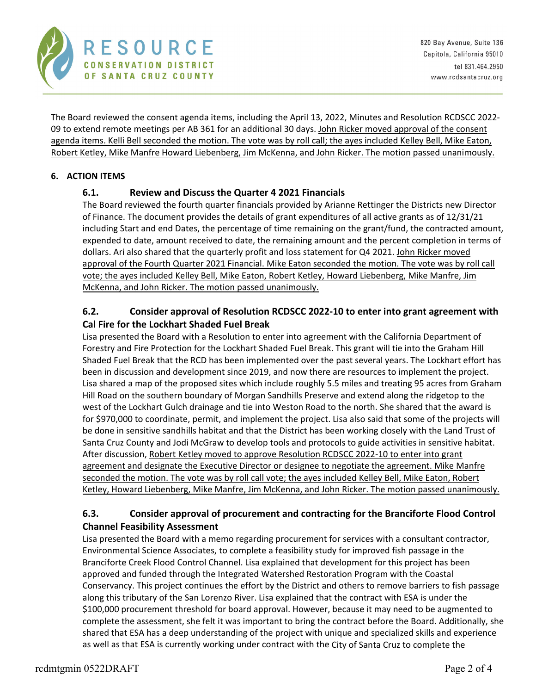

The Board reviewed the consent agenda items, including the April 13, 2022, Minutes and Resolution RCDSCC 2022‐ 09 to extend remote meetings per AB 361 for an additional 30 days. John Ricker moved approval of the consent agenda items. Kelli Bell seconded the motion. The vote was by roll call; the ayes included Kelley Bell, Mike Eaton, Robert Ketley, Mike Manfre Howard Liebenberg, Jim McKenna, and John Ricker. The motion passed unanimously.

### **6. ACTION ITEMS**

### **6.1. Review and Discuss the Quarter 4 2021 Financials**

The Board reviewed the fourth quarter financials provided by Arianne Rettinger the Districts new Director of Finance. The document provides the details of grant expenditures of all active grants as of 12/31/21 including Start and end Dates, the percentage of time remaining on the grant/fund, the contracted amount, expended to date, amount received to date, the remaining amount and the percent completion in terms of dollars. Ari also shared that the quarterly profit and loss statement for Q4 2021. John Ricker moved approval of the Fourth Quarter 2021 Financial. Mike Eaton seconded the motion. The vote was by roll call vote; the ayes included Kelley Bell, Mike Eaton, Robert Ketley, Howard Liebenberg, Mike Manfre, Jim McKenna, and John Ricker. The motion passed unanimously.

# **6.2. Consider approval of Resolution RCDSCC 2022‐10 to enter into grant agreement with Cal Fire for the Lockhart Shaded Fuel Break**

Lisa presented the Board with a Resolution to enter into agreement with the California Department of Forestry and Fire Protection for the Lockhart Shaded Fuel Break. This grant will tie into the Graham Hill Shaded Fuel Break that the RCD has been implemented over the past several years. The Lockhart effort has been in discussion and development since 2019, and now there are resources to implement the project. Lisa shared a map of the proposed sites which include roughly 5.5 miles and treating 95 acres from Graham Hill Road on the southern boundary of Morgan Sandhills Preserve and extend along the ridgetop to the west of the Lockhart Gulch drainage and tie into Weston Road to the north. She shared that the award is for \$970,000 to coordinate, permit, and implement the project. Lisa also said that some of the projects will be done in sensitive sandhills habitat and that the District has been working closely with the Land Trust of Santa Cruz County and Jodi McGraw to develop tools and protocols to guide activities in sensitive habitat. After discussion, Robert Ketley moved to approve Resolution RCDSCC 2022-10 to enter into grant agreement and designate the Executive Director or designee to negotiate the agreement. Mike Manfre seconded the motion. The vote was by roll call vote; the ayes included Kelley Bell, Mike Eaton, Robert Ketley, Howard Liebenberg, Mike Manfre, Jim McKenna, and John Ricker. The motion passed unanimously.

### **6.3. Consider approval of procurement and contracting for the Branciforte Flood Control Channel Feasibility Assessment**

Lisa presented the Board with a memo regarding procurement for services with a consultant contractor, Environmental Science Associates, to complete a feasibility study for improved fish passage in the Branciforte Creek Flood Control Channel. Lisa explained that development for this project has been approved and funded through the Integrated Watershed Restoration Program with the Coastal Conservancy. This project continues the effort by the District and others to remove barriers to fish passage along this tributary of the San Lorenzo River. Lisa explained that the contract with ESA is under the \$100,000 procurement threshold for board approval. However, because it may need to be augmented to complete the assessment, she felt it was important to bring the contract before the Board. Additionally, she shared that ESA has a deep understanding of the project with unique and specialized skills and experience as well as that ESA is currently working under contract with the City of Santa Cruz to complete the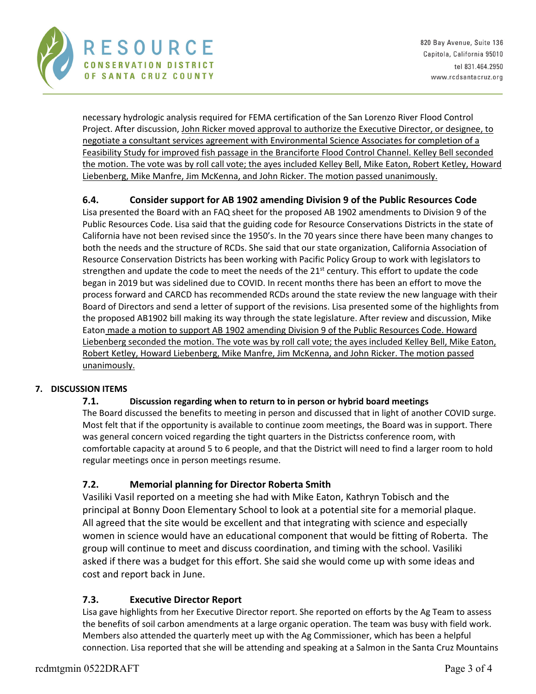

necessary hydrologic analysis required for FEMA certification of the San Lorenzo River Flood Control Project. After discussion, John Ricker moved approval to authorize the Executive Director, or designee, to negotiate a consultant services agreement with Environmental Science Associates for completion of a Feasibility Study for improved fish passage in the Branciforte Flood Control Channel. Kelley Bell seconded the motion. The vote was by roll call vote; the ayes included Kelley Bell, Mike Eaton, Robert Ketley, Howard Liebenberg, Mike Manfre, Jim McKenna, and John Ricker. The motion passed unanimously.

### **6.4. Consider support for AB 1902 amending Division 9 of the Public Resources Code**

Lisa presented the Board with an FAQ sheet for the proposed AB 1902 amendments to Division 9 of the Public Resources Code. Lisa said that the guiding code for Resource Conservations Districts in the state of California have not been revised since the 1950's. In the 70 years since there have been many changes to both the needs and the structure of RCDs. She said that our state organization, California Association of Resource Conservation Districts has been working with Pacific Policy Group to work with legislators to strengthen and update the code to meet the needs of the  $21<sup>st</sup>$  century. This effort to update the code began in 2019 but was sidelined due to COVID. In recent months there has been an effort to move the process forward and CARCD has recommended RCDs around the state review the new language with their Board of Directors and send a letter of support of the revisions. Lisa presented some of the highlights from the proposed AB1902 bill making its way through the state legislature. After review and discussion, Mike Eaton made a motion to support AB 1902 amending Division 9 of the Public Resources Code. Howard Liebenberg seconded the motion. The vote was by roll call vote; the ayes included Kelley Bell, Mike Eaton, Robert Ketley, Howard Liebenberg, Mike Manfre, Jim McKenna, and John Ricker. The motion passed unanimously.

### **7. DISCUSSION ITEMS**

### **7.1. Discussion regarding when to return to in person or hybrid board meetings**

The Board discussed the benefits to meeting in person and discussed that in light of another COVID surge. Most felt that if the opportunity is available to continue zoom meetings, the Board was in support. There was general concern voiced regarding the tight quarters in the Districtss conference room, with comfortable capacity at around 5 to 6 people, and that the District will need to find a larger room to hold regular meetings once in person meetings resume.

## **7.2. Memorial planning for Director Roberta Smith**

Vasiliki Vasil reported on a meeting she had with Mike Eaton, Kathryn Tobisch and the principal at Bonny Doon Elementary School to look at a potential site for a memorial plaque. All agreed that the site would be excellent and that integrating with science and especially women in science would have an educational component that would be fitting of Roberta. The group will continue to meet and discuss coordination, and timing with the school. Vasiliki asked if there was a budget for this effort. She said she would come up with some ideas and cost and report back in June.

### **7.3. Executive Director Report**

Lisa gave highlights from her Executive Director report. She reported on efforts by the Ag Team to assess the benefits of soil carbon amendments at a large organic operation. The team was busy with field work. Members also attended the quarterly meet up with the Ag Commissioner, which has been a helpful connection. Lisa reported that she will be attending and speaking at a Salmon in the Santa Cruz Mountains